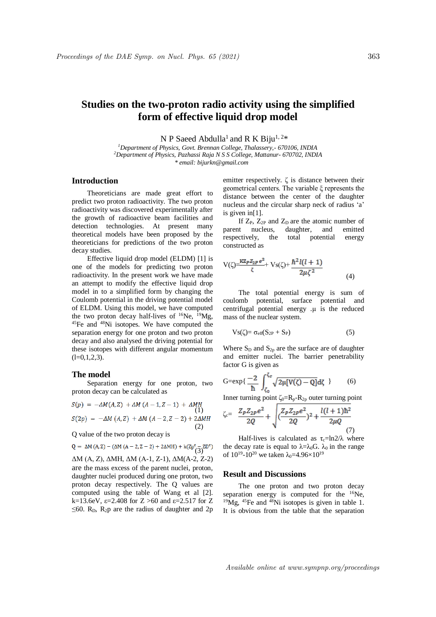# **Studies on the two-proton radio activity using the simplified form of effective liquid drop model**

N P Saeed Abdulla<sup>1</sup> and R K Biju<sup>1, 2\*</sup>

*<sup>1</sup>Department of Physics, Govt. Brennan College, Thalassery,- 670106, INDIA <sup>2</sup>Department of Physics, Pazhassi Raja N S S College, Mattanur- 670702, INDIA \* email: bijurkn@gmail.com*

## **Introduction**

Theoreticians are made great effort to predict two proton radioactivity. The two proton radioactivity was discovered experimentally after the growth of radioactive beam facilities and detection technologies. At present many theoretical models have been proposed by the theoreticians for predictions of the two proton decay studies.

Effective liquid drop model (ELDM) [1] is one of the models for predicting two proton radioactivity. In the present work we have made an attempt to modify the effective liquid drop model in to a simplified form by changing the Coulomb potential in the driving potential model of ELDM. Using this model, we have computed the two proton decay half-lives of  $^{16}$ Ne,  $^{19}$ Mg, <sup>45</sup>Fe and <sup>48</sup>Ni isotopes. We have computed the separation energy for one proton and two proton decay and also analysed the driving potential for these isotopes with different angular momentum  $(l=0,1,2,3)$ .

#### **The model**

Separation energy for one proton, two proton decay can be calculated as

$$
S(p) = -\Delta M(A, Z) + \Delta M (A - 1, Z - 1) + \Delta M H
$$
  
\n
$$
S(2p) = -\Delta M (A, Z) + \Delta M (A - 2, Z - 2) + 2\Delta M H
$$
  
\n(2)

Q value of the two proton decay is

$$
Q = \Delta M (A, Z) - (\Delta M (A - 2, Z - 2) + 2\Delta M H) + k(Zp^{\epsilon} - ZD^{\epsilon})
$$

ΔM (A, Z), ΔMH, ΔM (A-1, Z-1), ΔM(A-2, Z-2) are the mass excess of the parent nuclei, proton, daughter nuclei produced during one proton, two proton decay respectively. The Q values are computed using the table of Wang et al [2]. k=13.6eV,  $\varepsilon$ =2.408 for Z >60 and  $\varepsilon$ =2.517 for Z  $\leq 60$ . R<sub>D</sub>, R<sub>2</sub>p are the radius of daughter and 2p emitter respectively.  $\zeta$  is distance between their geometrical centers. The variable ξ represents the distance between the center of the daughter nucleus and the circular sharp neck of radius 'a' is given in[1].

If  $Z_P$ ,  $Z_{2P}$  and  $Z_D$  are the atomic number of parent nucleus, daughter, and emitted respectively, the total potential energy constructed as

$$
V(\zeta) = \frac{kZ_{P}Z_{2P}e^{2}}{\zeta} + Vs(\zeta) + \frac{\hbar^{2}l(l+1)}{2\mu\zeta^{2}}
$$
(4)

The total potential energy is sum of coulomb potential, surface potential and centrifugal potential energy .μ is the reduced mass of the nuclear system.

$$
V_S(\zeta) = \sigma_{eff}(S_{2P} + S_P) \tag{5}
$$

Where  $S_D$  and  $S_{2p}$  are the surface are of daughter and emitter nuclei. The barrier penetrability factor G is given as

$$
G = exp\left\{ \frac{-2}{\hbar} \int_{\zeta_0}^{\zeta_0} \sqrt{2\mu[V(\zeta) - Q]} d\zeta \right\} \tag{6}
$$

Inner turning point  $\zeta_0=R_p-R_{2p}$  outer turning point

$$
\zeta_c = \frac{Z_P Z_{2P} e^2}{2Q} + \sqrt{\frac{Z_P Z_{2P} e^2}{2Q}})^2 + \frac{l(l+1)\hbar^2}{2\mu Q}
$$
\n(7)

Half-lives is calculated as  $\tau_c = \ln 2/\lambda$  where the decay rate is equal to  $\lambda = \lambda_0 G$ .  $\lambda_0$  in the range of  $10^{19}$ - $10^{20}$  we taken  $\lambda_0$ =4.96× $10^{19}$ 

#### **Result and Discussions**

The one proton and two proton decay separation energy is computed for the <sup>16</sup>Ne, <sup>19</sup>Mg, <sup>45</sup>Fe and <sup>48</sup>Ni isotopes is given in table 1. It is obvious from the table that the separation